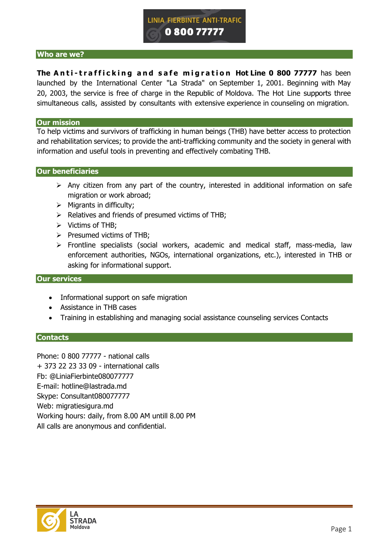

### **Who are we?**

**The Anti-trafficking and safe migration Hot Line 0 800 77777 has been** launched by the International Center "La Strada" on September 1, 2001. Beginning with May 20, 2003, the service is free of charge in the Republic of Moldova. The Hot Line supports three simultaneous calls, assisted by consultants with extensive experience in counseling on migration.

#### **Our mission**

To help victims and survivors of trafficking in human beings (THB) have better access to protection and rehabilitation services; to provide the anti-trafficking community and the society in general with information and useful tools in preventing and effectively combating THB.

#### **Our beneficiaries**

- $\triangleright$  Any citizen from any part of the country, interested in additional information on safe migration or work abroad;
- $\triangleright$  Migrants in difficulty;
- $\triangleright$  Relatives and friends of presumed victims of THB;
- $\triangleright$  Victims of THB;
- $\triangleright$  Presumed victims of THB;
- Frontline specialists (social workers, academic and medical staff, mass-media, law enforcement authorities, NGOs, international organizations, etc.), interested in THB or asking for informational support.

#### **Our services**

- Informational support on safe migration
- Assistance in THB cases
- Training in establishing and managing social assistance counseling services Contacts

#### **Contacts**

Phone: 0 800 77777 - national calls + 373 22 23 33 09 - international calls Fb: @LiniaFierbinte080077777 E-mail: hotline@lastrada.md Skype: Consultant080077777 Web: migratiesigura.md Working hours: daily, from 8.00 AM untill 8.00 PM All calls are anonymous and confidential.

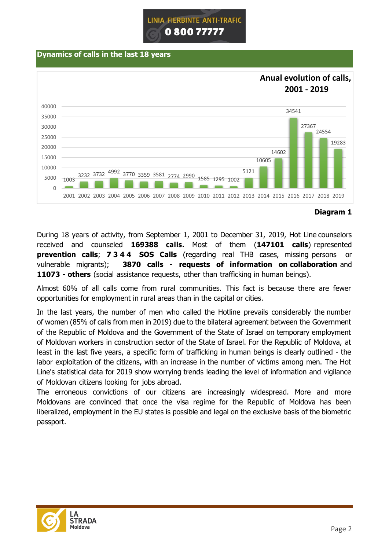

### **Dynamics of calls in the last 18 years**



## **Diagram 1**

During 18 years of activity, from September 1, 2001 to December 31, 2019, Hot Line counselors received and counseled **169388 calls.** Most of them (**147101 calls**) represented **prevention calls**; **7 3 4 4 SOS Calls** (regarding real THB cases, missing persons or vulnerable migrants); **3870 calls - requests of information on collaboration** and **11073 - others** (social assistance requests, other than trafficking in human beings).

Almost 60% of all calls come from rural communities. This fact is because there are fewer opportunities for employment in rural areas than in the capital or cities.

In the last years, the number of men who called the Hotline prevails considerably the number of women (85% of calls from men in 2019) due to the bilateral agreement between the Government of the Republic of Moldova and the Government of the State of Israel on temporary employment of Moldovan workers in construction sector of the State of Israel. For the Republic of Moldova, at least in the last five years, a specific form of trafficking in human beings is clearly outlined - the labor exploitation of the citizens, with an increase in the number of victims among men. The Hot Line's statistical data for 2019 show worrying trends leading the level of information and vigilance of Moldovan citizens looking for jobs abroad.

The erroneous convictions of our citizens are increasingly widespread. More and more Moldovans are convinced that once the visa regime for the Republic of Moldova has been liberalized, employment in the EU states is possible and legal on the exclusive basis of the biometric passport.